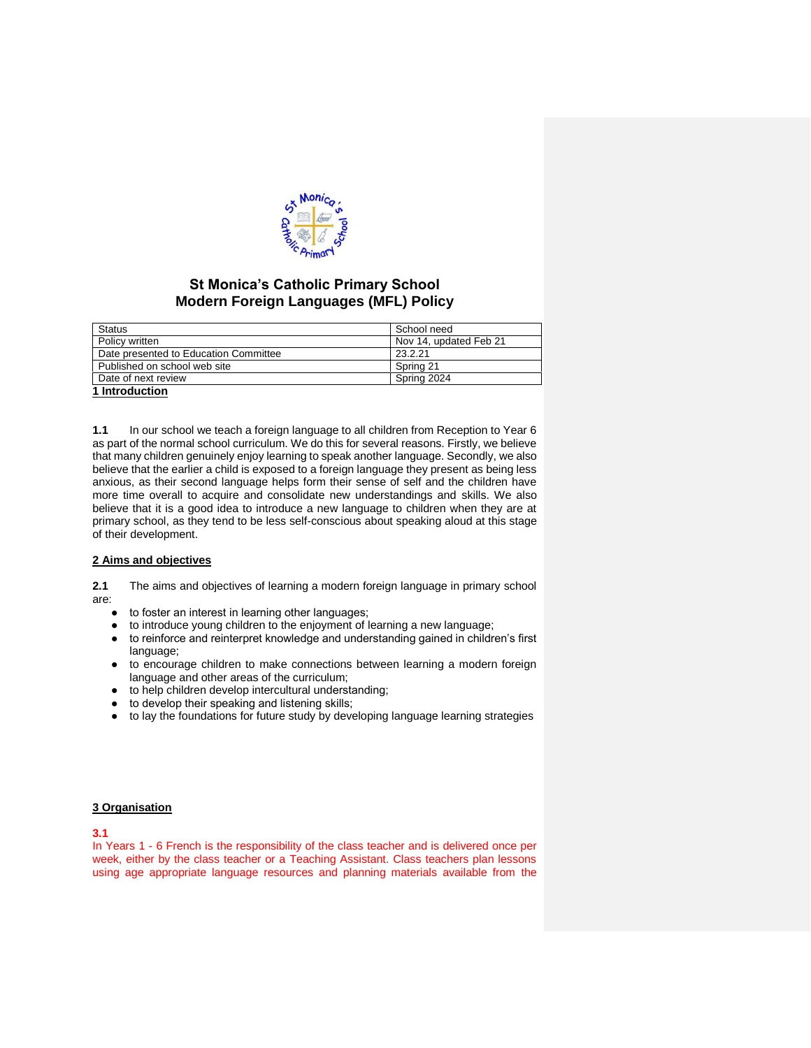

# **St Monica's Catholic Primary School Modern Foreign Languages (MFL) Policy**

| Status                                | School need            |
|---------------------------------------|------------------------|
| Policy written                        | Nov 14, updated Feb 21 |
| Date presented to Education Committee | 23.2.21                |
| Published on school web site          | Spring 21              |
| Date of next review                   | Spring 2024            |
| 1 Introduction                        |                        |

**1.1** In our school we teach a foreign language to all children from Reception to Year 6 as part of the normal school curriculum. We do this for several reasons. Firstly, we believe that many children genuinely enjoy learning to speak another language. Secondly, we also believe that the earlier a child is exposed to a foreign language they present as being less anxious, as their second language helps form their sense of self and the children have more time overall to acquire and consolidate new understandings and skills. We also believe that it is a good idea to introduce a new language to children when they are at primary school, as they tend to be less self-conscious about speaking aloud at this stage of their development.

### **2 Aims and objectives**

**2.1** The aims and objectives of learning a modern foreign language in primary school are:

- to foster an interest in learning other languages;
- to introduce young children to the enjoyment of learning a new language;
- to reinforce and reinterpret knowledge and understanding gained in children's first language;
- to encourage children to make connections between learning a modern foreign language and other areas of the curriculum;
- to help children develop intercultural understanding;
- to develop their speaking and listening skills;
- to lay the foundations for future study by developing language learning strategies

## **3 Organisation**

#### **3.1**

In Years 1 - 6 French is the responsibility of the class teacher and is delivered once per week, either by the class teacher or a Teaching Assistant. Class teachers plan lessons using age appropriate language resources and planning materials available from the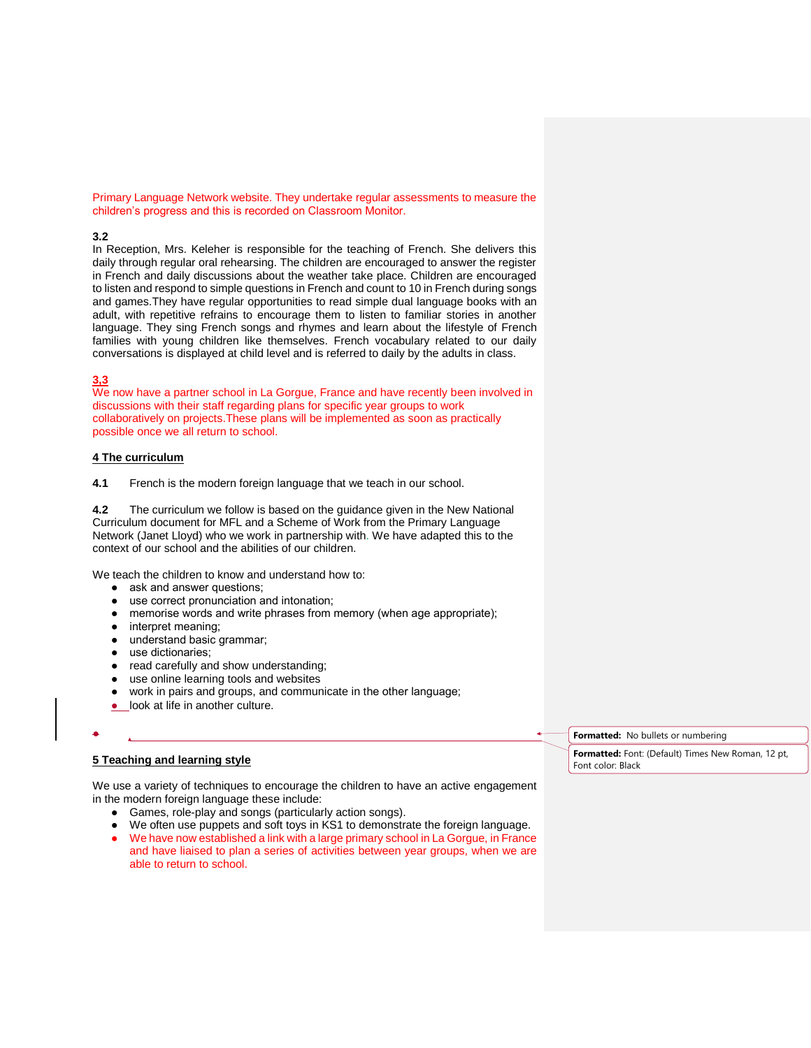Primary Language Network website. They undertake regular assessments to measure the children's progress and this is recorded on Classroom Monitor.

### **3.2**

In Reception, Mrs. Keleher is responsible for the teaching of French. She delivers this daily through regular oral rehearsing. The children are encouraged to answer the register in French and daily discussions about the weather take place. Children are encouraged to listen and respond to simple questions in French and count to 10 in French during songs and games.They have regular opportunities to read simple dual language books with an adult, with repetitive refrains to encourage them to listen to familiar stories in another language. They sing French songs and rhymes and learn about the lifestyle of French families with young children like themselves. French vocabulary related to our daily conversations is displayed at child level and is referred to daily by the adults in class.

# **3,3**

●

We now have a partner school in La Gorgue, France and have recently been involved in discussions with their staff regarding plans for specific year groups to work collaboratively on projects.These plans will be implemented as soon as practically possible once we all return to school.

# **4 The curriculum**

**4.1** French is the modern foreign language that we teach in our school.

**4.2** The curriculum we follow is based on the guidance given in the New National Curriculum document for MFL and a Scheme of Work from the Primary Language Network (Janet Lloyd) who we work in partnership with. We have adapted this to the context of our school and the abilities of our children.

We teach the children to know and understand how to:

- ask and answer questions:
- use correct pronunciation and intonation;
- memorise words and write phrases from memory (when age appropriate);
- interpret meaning;
- understand basic grammar;
- use dictionaries;
- read carefully and show understanding;
- use online learning tools and websites
- work in pairs and groups, and communicate in the other language;
- look at life in another culture.

# **5 Teaching and learning style**

We use a variety of techniques to encourage the children to have an active engagement in the modern foreign language these include:

- Games, role-play and songs (particularly action songs).
- We often use puppets and soft toys in KS1 to demonstrate the foreign language.
- We have now established a link with a large primary school in La Gorgue, in France and have liaised to plan a series of activities between year groups, when we are able to return to school.

**Formatted:** No bullets or numbering

**Formatted:** Font: (Default) Times New Roman, 12 pt, Font color: Black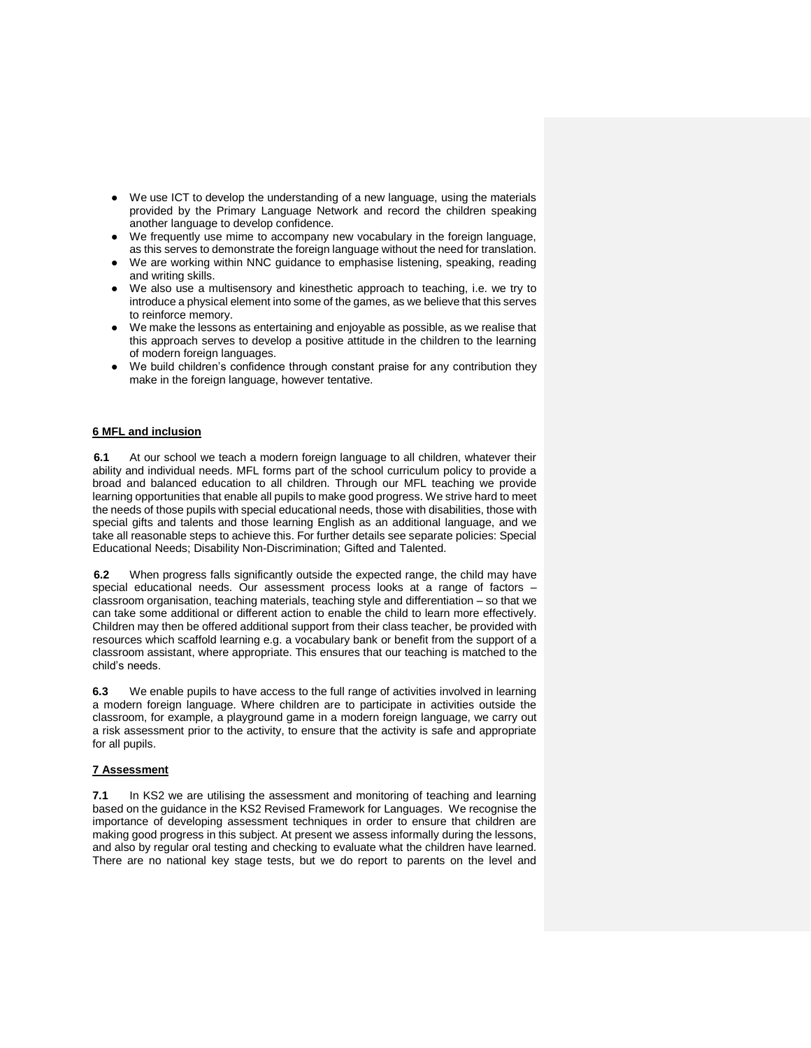- We use ICT to develop the understanding of a new language, using the materials provided by the Primary Language Network and record the children speaking another language to develop confidence.
- We frequently use mime to accompany new vocabulary in the foreign language, as this serves to demonstrate the foreign language without the need for translation.
- We are working within NNC guidance to emphasise listening, speaking, reading and writing skills.
- We also use a multisensory and kinesthetic approach to teaching, i.e. we try to introduce a physical element into some of the games, as we believe that this serves to reinforce memory.
- We make the lessons as entertaining and enjoyable as possible, as we realise that this approach serves to develop a positive attitude in the children to the learning of modern foreign languages.
- We build children's confidence through constant praise for any contribution they make in the foreign language, however tentative.

### **6 MFL and inclusion**

**6.1** At our school we teach a modern foreign language to all children, whatever their ability and individual needs. MFL forms part of the school curriculum policy to provide a broad and balanced education to all children. Through our MFL teaching we provide learning opportunities that enable all pupils to make good progress. We strive hard to meet the needs of those pupils with special educational needs, those with disabilities, those with special gifts and talents and those learning English as an additional language, and we take all reasonable steps to achieve this. For further details see separate policies: Special Educational Needs; Disability Non-Discrimination; Gifted and Talented.

**6.2** When progress falls significantly outside the expected range, the child may have special educational needs. Our assessment process looks at a range of factors – classroom organisation, teaching materials, teaching style and differentiation – so that we can take some additional or different action to enable the child to learn more effectively. Children may then be offered additional support from their class teacher, be provided with resources which scaffold learning e.g. a vocabulary bank or benefit from the support of a classroom assistant, where appropriate. This ensures that our teaching is matched to the child's needs.

**6.3** We enable pupils to have access to the full range of activities involved in learning a modern foreign language. Where children are to participate in activities outside the classroom, for example, a playground game in a modern foreign language, we carry out a risk assessment prior to the activity, to ensure that the activity is safe and appropriate for all pupils.

### **7 Assessment**

**7.1** In KS2 we are utilising the assessment and monitoring of teaching and learning based on the guidance in the KS2 Revised Framework for Languages. We recognise the importance of developing assessment techniques in order to ensure that children are making good progress in this subject. At present we assess informally during the lessons, and also by regular oral testing and checking to evaluate what the children have learned. There are no national key stage tests, but we do report to parents on the level and